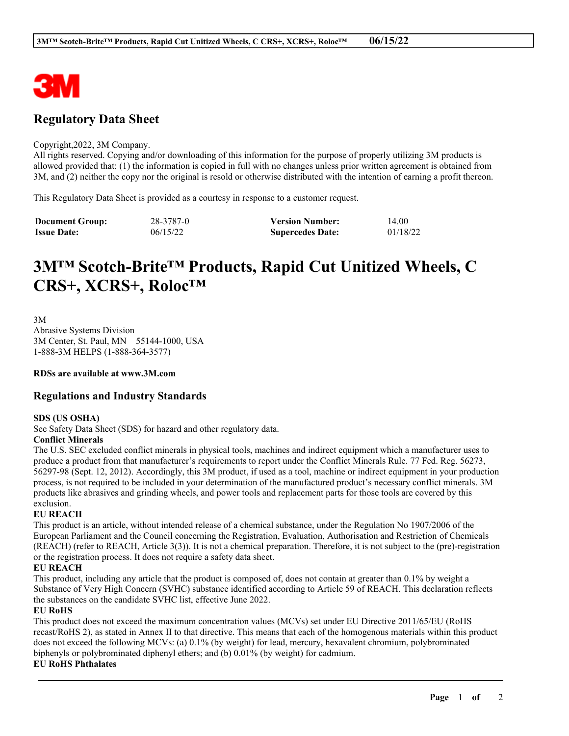

# **Regulatory Data Sheet**

#### Copyright,2022, 3M Company.

All rights reserved. Copying and/or downloading of this information for the purpose of properly utilizing 3M products is allowed provided that: (1) the information is copied in full with no changes unless prior written agreement is obtained from 3M, and (2) neither the copy nor the original is resold or otherwise distributed with the intention of earning a profit thereon.

This Regulatory Data Sheet is provided as a courtesy in response to a customer request.

| <b>Document Group:</b> | 28-3787-0 | <b>Version Number:</b>  | 14.00    |
|------------------------|-----------|-------------------------|----------|
| <b>Issue Date:</b>     | 06/15/22  | <b>Supercedes Date:</b> | 01/18/22 |

# **3M™ Scotch-Brite™ Products, Rapid Cut Unitized Wheels, C CRS+, XCRS+, Roloc™**

3M Abrasive Systems Division 3M Center, St. Paul, MN 55144-1000, USA 1-888-3M HELPS (1-888-364-3577)

**RDSs are available at www.3M.com**

### **Regulations and Industry Standards**

#### **SDS (US OSHA)**

See Safety Data Sheet (SDS) for hazard and other regulatory data.

#### **Conflict Minerals**

The U.S. SEC excluded conflict minerals in physical tools, machines and indirect equipment which a manufacturer uses to produce a product from that manufacturer's requirements to report under the Conflict Minerals Rule. 77 Fed. Reg. 56273, 56297-98 (Sept. 12, 2012). Accordingly, this 3M product, if used as a tool, machine or indirect equipment in your production process, is not required to be included in your determination of the manufactured product's necessary conflict minerals. 3M products like abrasives and grinding wheels, and power tools and replacement parts for those tools are covered by this exclusion.

#### **EU REACH**

This product is an article, without intended release of a chemical substance, under the Regulation No 1907/2006 of the European Parliament and the Council concerning the Registration, Evaluation, Authorisation and Restriction of Chemicals (REACH) (refer to REACH, Article 3(3)). It is not a chemical preparation. Therefore, it is not subject to the (pre)-registration or the registration process. It does not require a safety data sheet.

#### **EU REACH**

This product, including any article that the product is composed of, does not contain at greater than 0.1% by weight a Substance of Very High Concern (SVHC) substance identified according to Article 59 of REACH. This declaration reflects the substances on the candidate SVHC list, effective June 2022.

#### **EU RoHS**

This product does not exceed the maximum concentration values (MCVs) set under EU Directive 2011/65/EU (RoHS recast/RoHS 2), as stated in Annex II to that directive. This means that each of the homogenous materials within this product does not exceed the following MCVs: (a) 0.1% (by weight) for lead, mercury, hexavalent chromium, polybrominated biphenyls or polybrominated diphenyl ethers; and (b) 0.01% (by weight) for cadmium.

\_\_\_\_\_\_\_\_\_\_\_\_\_\_\_\_\_\_\_\_\_\_\_\_\_\_\_\_\_\_\_\_\_\_\_\_\_\_\_\_\_\_\_\_\_\_\_\_\_\_\_\_\_\_\_\_\_\_\_\_\_\_\_\_\_\_\_\_\_\_\_\_\_\_\_\_\_\_\_\_\_\_\_\_\_\_\_\_\_\_

#### **EU RoHS Phthalates**